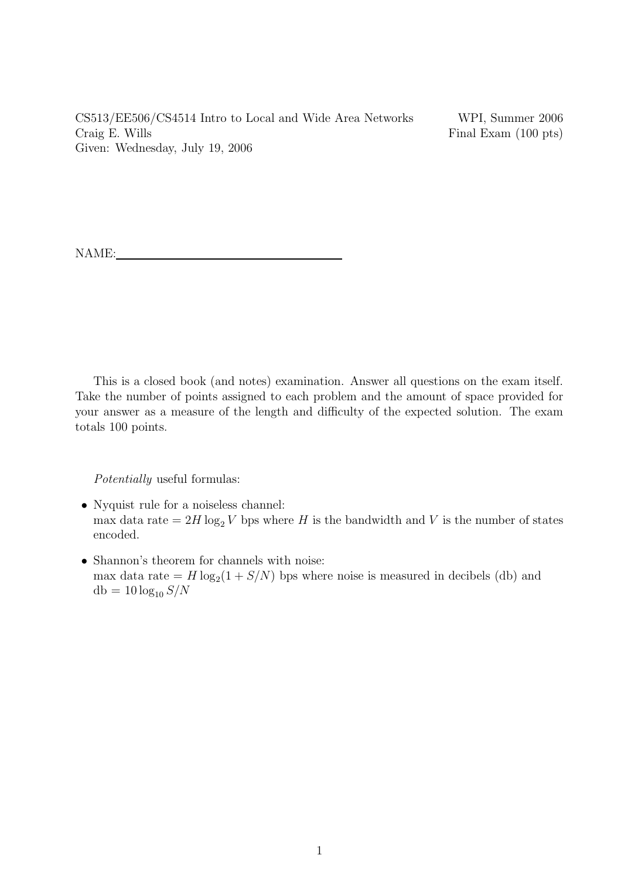CS513/EE506/CS4514 Intro to Local and Wide Area Networks WPI, Summer 2006 Craig E. Wills Final Exam (100 pts) Given: Wednesday, July 19, 2006

NAME:

This is a closed book (and notes) examination. Answer all questions on the exam itself. Take the number of points assigned to each problem and the amount of space provided for your answer as a measure of the length and difficulty of the expected solution. The exam totals 100 points.

Potentially useful formulas:

- Nyquist rule for a noiseless channel: max data rate =  $2H \log_2 V$  bps where H is the bandwidth and V is the number of states encoded.
- Shannon's theorem for channels with noise: max data rate  $= H \log_2(1 + S/N)$  bps where noise is measured in decibels (db) and  $db = 10 \log_{10} S/N$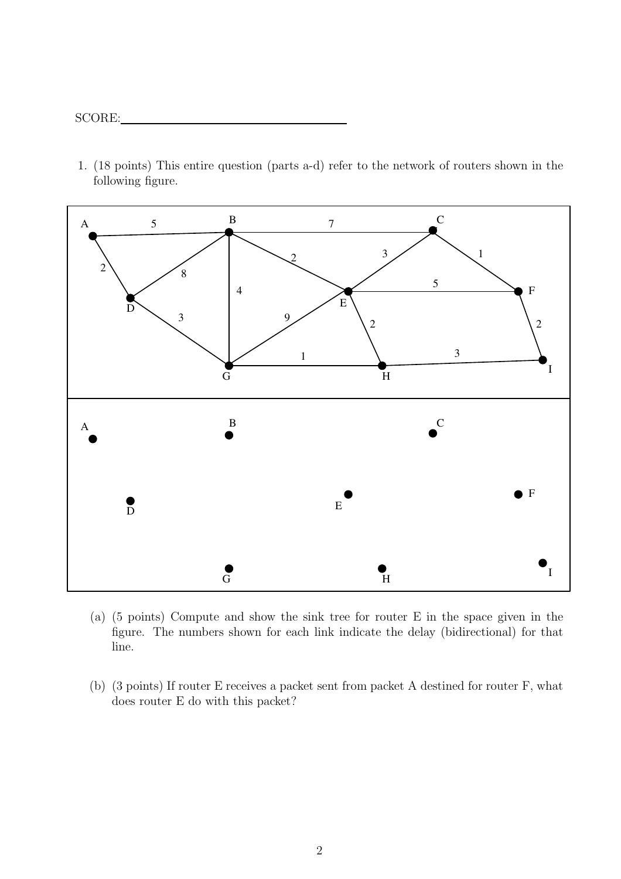1. (18 points) This entire question (parts a-d) refer to the network of routers shown in the following figure.



- (a) (5 points) Compute and show the sink tree for router E in the space given in the figure. The numbers shown for each link indicate the delay (bidirectional) for that line.
- (b) (3 points) If router E receives a packet sent from packet A destined for router F, what does router E do with this packet?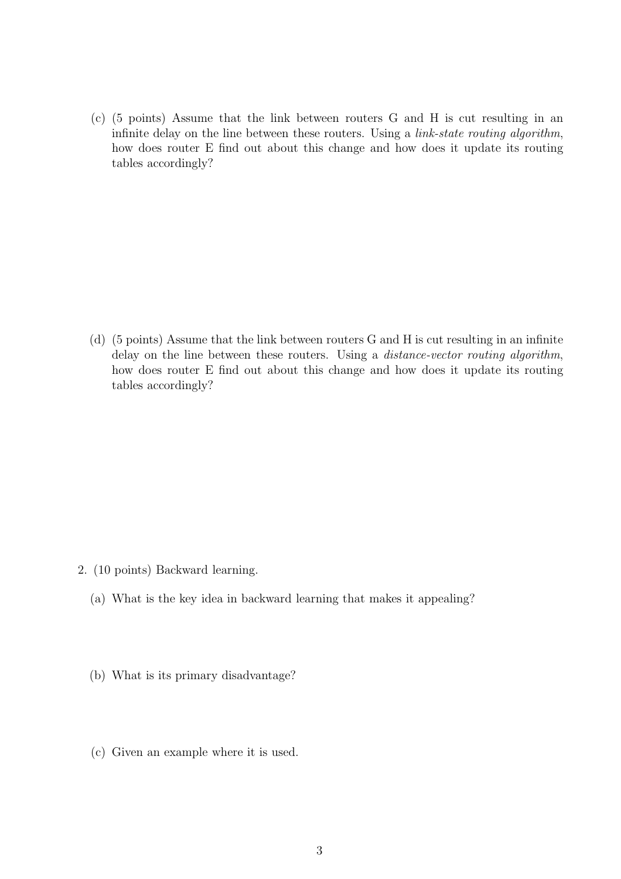(c) (5 points) Assume that the link between routers G and H is cut resulting in an infinite delay on the line between these routers. Using a link-state routing algorithm, how does router E find out about this change and how does it update its routing tables accordingly?

(d) (5 points) Assume that the link between routers G and H is cut resulting in an infinite delay on the line between these routers. Using a distance-vector routing algorithm, how does router E find out about this change and how does it update its routing tables accordingly?

- 2. (10 points) Backward learning.
	- (a) What is the key idea in backward learning that makes it appealing?
	- (b) What is its primary disadvantage?
	- (c) Given an example where it is used.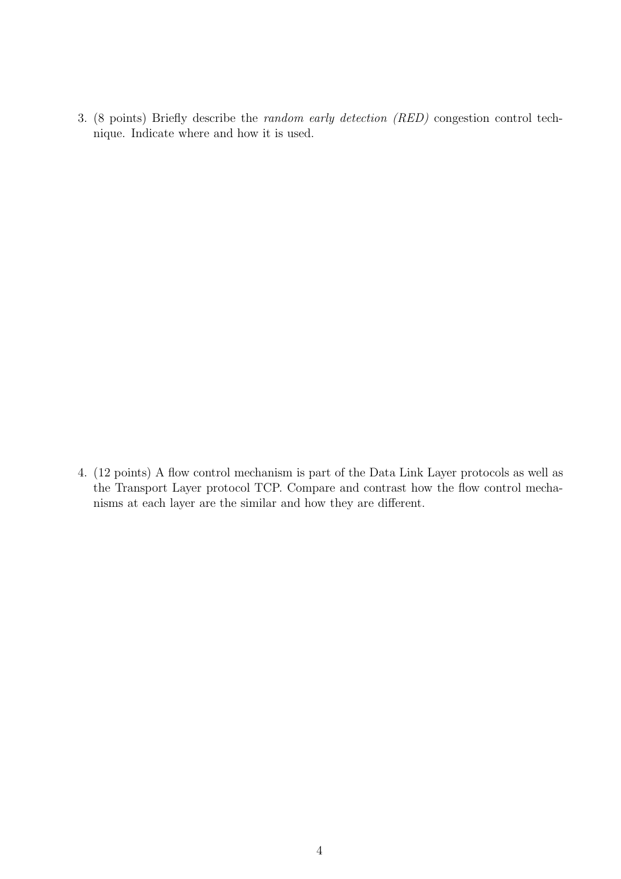3. (8 points) Briefly describe the random early detection (RED) congestion control technique. Indicate where and how it is used.

4. (12 points) A flow control mechanism is part of the Data Link Layer protocols as well as the Transport Layer protocol TCP. Compare and contrast how the flow control mechanisms at each layer are the similar and how they are different.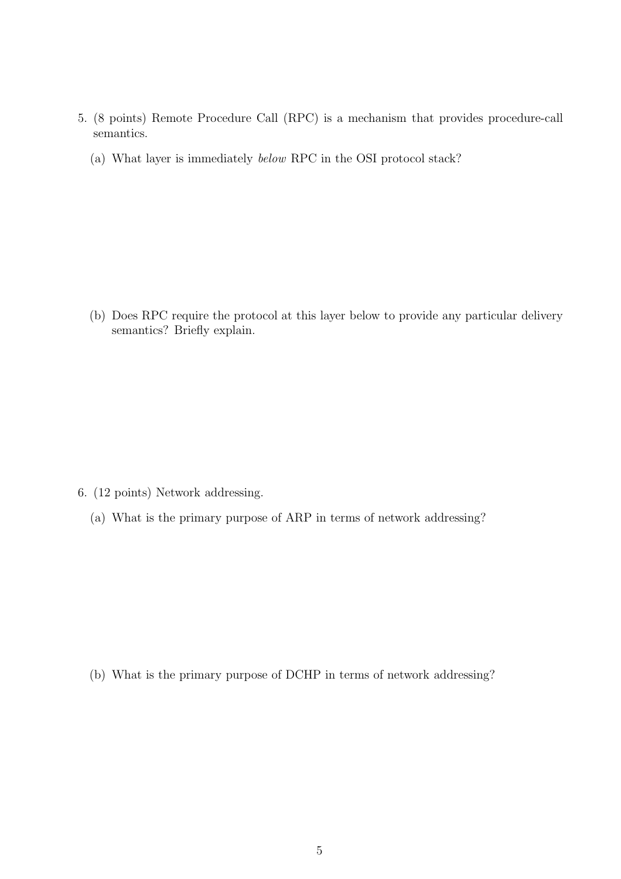- 5. (8 points) Remote Procedure Call (RPC) is a mechanism that provides procedure-call semantics.
	- (a) What layer is immediately below RPC in the OSI protocol stack?

(b) Does RPC require the protocol at this layer below to provide any particular delivery semantics? Briefly explain.

- 6. (12 points) Network addressing.
	- (a) What is the primary purpose of ARP in terms of network addressing?

(b) What is the primary purpose of DCHP in terms of network addressing?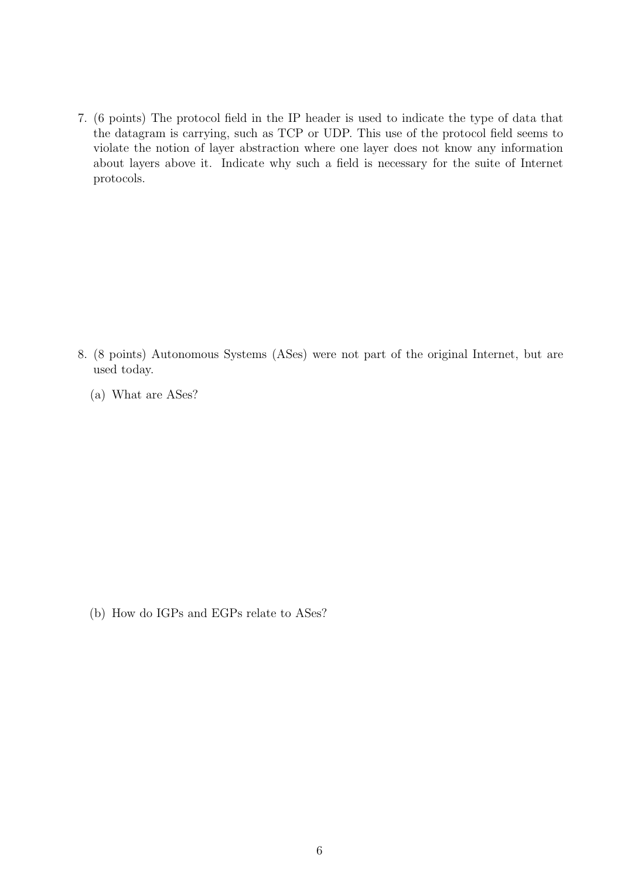7. (6 points) The protocol field in the IP header is used to indicate the type of data that the datagram is carrying, such as TCP or UDP. This use of the protocol field seems to violate the notion of layer abstraction where one layer does not know any information about layers above it. Indicate why such a field is necessary for the suite of Internet protocols.

8. (8 points) Autonomous Systems (ASes) were not part of the original Internet, but are used today.

(a) What are ASes?

(b) How do IGPs and EGPs relate to ASes?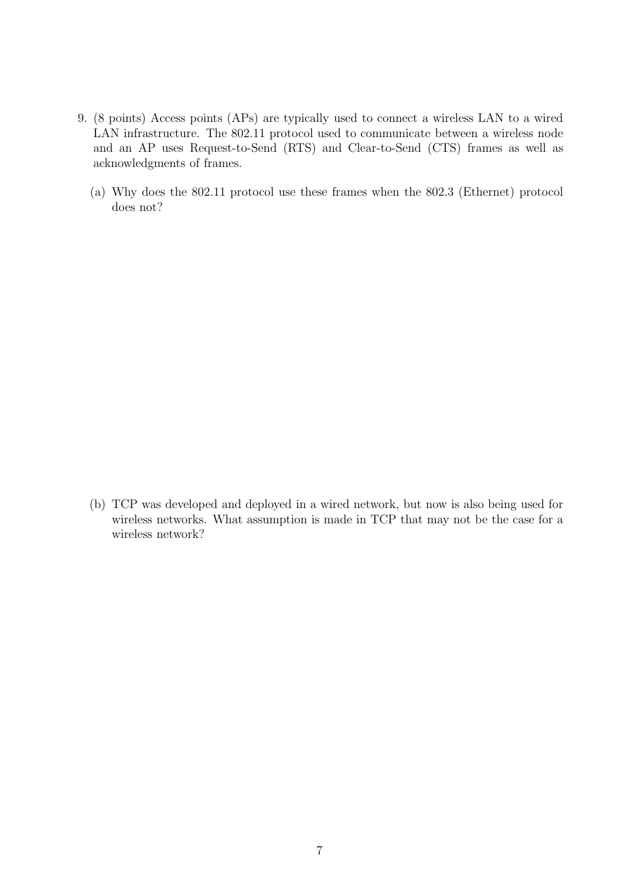- 9. (8 points) Access points (APs) are typically used to connect a wireless LAN to a wired LAN infrastructure. The 802.11 protocol used to communicate between a wireless node and an AP uses Request-to-Send (RTS) and Clear-to-Send (CTS) frames as well as acknowledgments of frames.
	- (a) Why does the 802.11 protocol use these frames when the 802.3 (Ethernet) protocol does not?

(b) TCP was developed and deployed in a wired network, but now is also being used for wireless networks. What assumption is made in TCP that may not be the case for a wireless network?